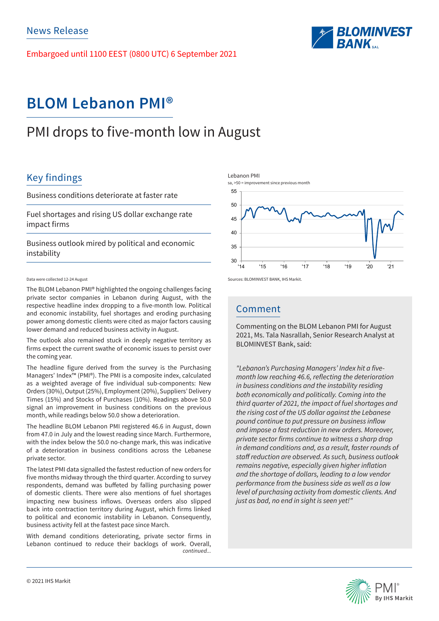Embargoed until 1100 EEST (0800 UTC) 6 September 2021



# **BLOM Lebanon PMI®**

# PMI drops to five-month low in August

## Key findings

Business conditions deteriorate at faster rate

Fuel shortages and rising US dollar exchange rate impact firms

Business outlook mired by political and economic instability

#### Data were collected 12-24 August

The BLOM Lebanon PMI® highlighted the ongoing challenges facing private sector companies in Lebanon during August, with the respective headline index dropping to a five-month low. Political and economic instability, fuel shortages and eroding purchasing power among domestic clients were cited as major factors causing lower demand and reduced business activity in August.

The outlook also remained stuck in deeply negative territory as firms expect the current swathe of economic issues to persist over the coming year.

The headline figure derived from the survey is the Purchasing Managers' Index™ (PMI®). The PMI is a composite index, calculated as a weighted average of five individual sub-components: New Orders (30%), Output (25%), Employment (20%), Suppliers' Delivery Times (15%) and Stocks of Purchases (10%). Readings above 50.0 signal an improvement in business conditions on the previous month, while readings below 50.0 show a deterioration.

The headline BLOM Lebanon PMI registered 46.6 in August, down from 47.0 in July and the lowest reading since March. Furthermore, with the index below the 50.0 no-change mark, this was indicative of a deterioration in business conditions across the Lebanese private sector.

The latest PMI data signalled the fastest reduction of new orders for five months midway through the third quarter. According to survey respondents, demand was buffeted by falling purchasing power of domestic clients. There were also mentions of fuel shortages impacting new business inflows. Overseas orders also slipped back into contraction territory during August, which firms linked to political and economic instability in Lebanon. Consequently, business activity fell at the fastest pace since March.

*continued...* With demand conditions deteriorating, private sector firms in Lebanon continued to reduce their backlogs of work. Overall,

Lebanon PMI



Sources: BLOMINVEST BANK, IHS Markit.

### Comment

Commenting on the BLOM Lebanon PMI for August 2021, Ms. Tala Nasrallah, Senior Research Analyst at BLOMINVEST Bank, said:

"Lebanon's Purchasing Managers' Index hit a fivemonth low reaching 46.6, reflecting the deterioration *in business conditions and the instability residing both economically and politically. Coming into the third quarter of 2021, the impact of fuel shortages and the rising cost of the US dollar against the Lebanese*  pound continue to put pressure on business inflow and impose a fast reduction in new orders. Moreover, private sector firms continue to witness a sharp drop *in demand conditions and, as a result, faster rounds of*  staff reduction are observed. As such, business outlook remains negative, especially given higher inflation and the shortage of dollars, leading to a low vendor *performance from the business side as well as a low*  level of purchasing activity from domestic clients. And *just as bad, no end in sight is seen yet!"*